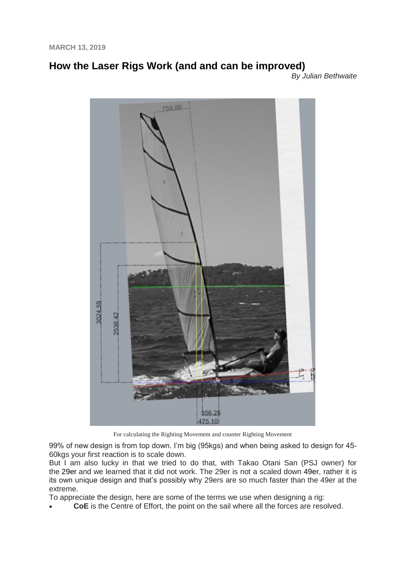**MARCH 13, 2019**

# **[How the Laser Rigs Work \(and and can be improved\)](http://www.impropercourse.com/2019/03/how-laser-rigs-work-and-and-can-be.html)**

*By Julian Bethwaite*



For calculating the Righting Movement and counter Righting Movement

99% of new design is from top down. I'm big (95kgs) and when being asked to design for 45- 60kgs your first reaction is to scale down.

But I am also lucky in that we tried to do that, with Takao Otani San (PSJ owner) for the [29er](https://en.wikipedia.org/wiki/29er_(dinghy)) and we learned that it did not work. The 29er is not a scaled down [49er,](https://en.wikipedia.org/wiki/49er_(dinghy)) rather it is its own unique design and that's possibly why 29ers are so much faster than the 49er at the extreme.

To appreciate the design, here are some of the terms we use when designing a rig:

**CoE** is the Centre of Effort, the point on the sail where all the forces are resolved.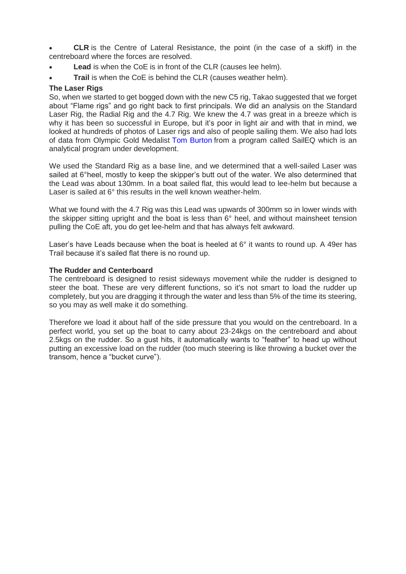- **CLR** is the Centre of Lateral Resistance, the point (in the case of a skiff) in the centreboard where the forces are resolved.
- **Lead** is when the CoE is in front of the CLR (causes lee helm).
- **Trail** is when the CoE is behind the CLR (causes weather helm).

## **The Laser Rigs**

So, when we started to get bogged down with the new C5 rig, Takao suggested that we forget about "Flame rigs" and go right back to first principals. We did an analysis on the Standard Laser Rig, the Radial Rig and the 4.7 Rig. We knew the 4.7 was great in a breeze which is why it has been so successful in Europe, but it's poor in light air and with that in mind, we looked at hundreds of photos of Laser rigs and also of people sailing them. We also had lots of data from Olympic Gold Medalist [Tom Burton](https://en.wikipedia.org/wiki/Tom_Burton_(sailor)) from a program called SailEQ which is an analytical program under development.

We used the Standard Rig as a base line, and we determined that a well-sailed Laser was sailed at 6°heel, mostly to keep the skipper's butt out of the water. We also determined that the Lead was about 130mm. In a boat sailed flat, this would lead to lee-helm but because a Laser is sailed at 6° this results in the well known weather-helm.

What we found with the 4.7 Rig was this Lead was upwards of 300mm so in lower winds with the skipper sitting upright and the boat is less than 6° heel, and without mainsheet tension pulling the CoE aft, you do get lee-helm and that has always felt awkward.

Laser's have Leads because when the boat is heeled at 6° it wants to round up. A 49er has Trail because it's sailed flat there is no round up.

## **The Rudder and Centerboard**

The centreboard is designed to resist sideways movement while the rudder is designed to steer the boat. These are very different functions, so it's not smart to load the rudder up completely, but you are dragging it through the water and less than 5% of the time its steering, so you may as well make it do something.

Therefore we load it about half of the side pressure that you would on the centreboard. In a perfect world, you set up the boat to carry about 23-24kgs on the centreboard and about 2.5kgs on the rudder. So a gust hits, it automatically wants to "feather" to head up without putting an excessive load on the rudder (too much steering is like throwing a bucket over the transom, hence a "bucket curve").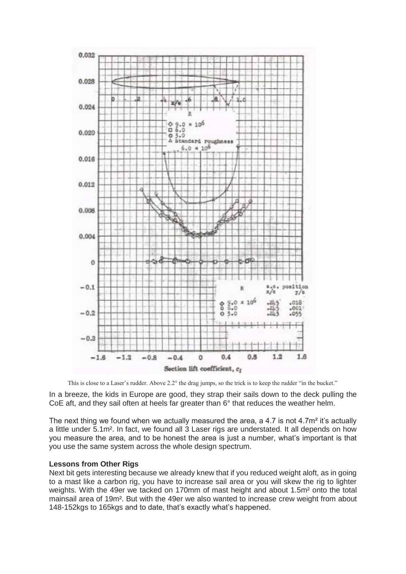

This is close to a Laser's rudder. Above 2.2° the drag jumps, so the trick is to keep the rudder "in the bucket."

In a breeze, the kids in Europe are good, they strap their sails down to the deck pulling the CoE aft, and they sail often at heels far greater than 6° that reduces the weather helm.

The next thing we found when we actually measured the area, a 4.7 is not 4.7m<sup>2</sup> it's actually a little under 5.1m². In fact, we found all 3 Laser rigs are understated. It all depends on how you measure the area, and to be honest the area is just a number, what's important is that you use the same system across the whole design spectrum.

#### **Lessons from Other Rigs**

Next bit gets interesting because we already knew that if you reduced weight aloft, as in going to a mast like a carbon rig, you have to increase sail area or you will skew the rig to lighter weights. With the 49er we tacked on 170mm of mast height and about 1.5m² onto the total mainsail area of 19m². But with the 49er we also wanted to increase crew weight from about 148-152kgs to 165kgs and to date, that's exactly what's happened.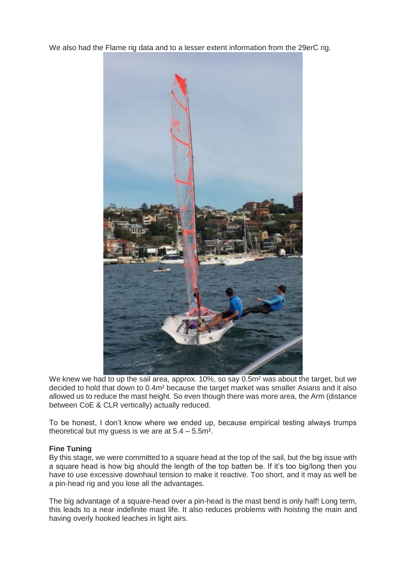We also had the Flame rig data and to a lesser extent information from the 29erC rig.



We knew we had to up the sail area, approx. 10%, so say 0.5m<sup>2</sup> was about the target, but we decided to hold that down to 0.4m² because the target market was smaller Asians and it also allowed us to reduce the mast height. So even though there was more area, the Arm (distance between CoE & CLR vertically) actually reduced.

To be honest, I don't know where we ended up, because empirical testing always trumps theoretical but my quess is we are at  $5.4 - 5.5$  m<sup>2</sup>.

## **Fine Tuning**

By this stage, we were committed to a square head at the top of the sail, but the big issue with a square head is how big should the length of the top batten be. If it's too big/long then you have to use excessive downhaul tension to make it reactive. Too short, and it may as well be a pin-head rig and you lose all the advantages.

The big advantage of a square-head over a pin-head is the mast bend is only half! Long term, this leads to a near indefinite mast life. It also reduces problems with hoisting the main and having overly hooked leaches in light airs.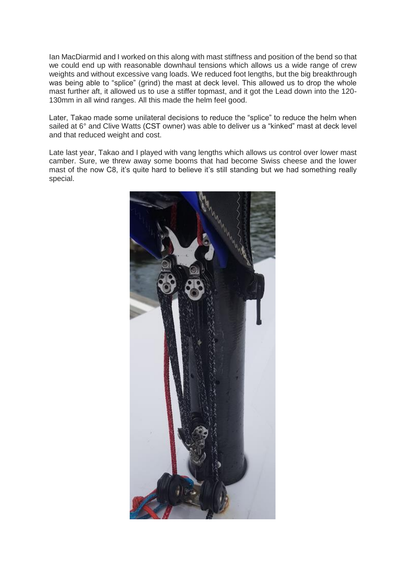Ian MacDiarmid and I worked on this along with mast stiffness and position of the bend so that we could end up with reasonable downhaul tensions which allows us a wide range of crew weights and without excessive vang loads. We reduced foot lengths, but the big breakthrough was being able to "splice" (grind) the mast at deck level. This allowed us to drop the whole mast further aft, it allowed us to use a stiffer topmast, and it got the Lead down into the 120- 130mm in all wind ranges. All this made the helm feel good.

Later, Takao made some unilateral decisions to reduce the "splice" to reduce the helm when sailed at 6° and Clive Watts [\(CST](https://www.cstcomposites.com/) owner) was able to deliver us a "kinked" mast at deck level and that reduced weight and cost.

Late last year, Takao and I played with vang lengths which allows us control over lower mast camber. Sure, we threw away some booms that had become Swiss cheese and the lower mast of the now C8, it's quite hard to believe it's still standing but we had something really special.

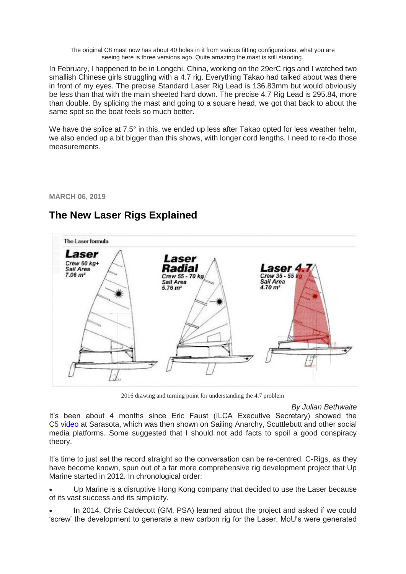The original C8 mast now has about 40 holes in it from various fitting configurations, what you are seeing here is three versions ago. Quite amazing the mast is still standing.

In February, I happened to be in Longchi, China, working on the 29erC rigs and I watched two smallish Chinese girls struggling with a 4.7 rig. Everything Takao had talked about was there in front of my eyes. The precise Standard Laser Rig Lead is 136.83mm but would obviously be less than that with the main sheeted hard down. The precise 4.7 Rig Lead is 295.84, more than double. By splicing the mast and going to a square head, we got that back to about the same spot so the boat feels so much better.

We have the splice at 7.5° in this, we ended up less after Takao opted for less weather helm, we also ended up a bit bigger than this shows, with longer cord lengths. I need to re-do those measurements.

**MARCH 06, 2019**

## **[The New Laser Rigs Explained](http://www.impropercourse.com/2019/03/the-new-laser-rigs-explained.html)**



2016 drawing and turning point for understanding the 4.7 problem

*By Julian Bethwaite*

It's been about 4 months since Eric Faust (ILCA Executive Secretary) showed the C5 [video](https://vimeo.com/282617100) at Sarasota, which was then shown on Sailing Anarchy, Scuttlebutt and other social media platforms. Some suggested that I should not add facts to spoil a good conspiracy theory.

It's time to just set the record straight so the conversation can be re-centred. C-Rigs, as they have become known, spun out of a far more comprehensive rig development project that Up Marine started in 2012. In chronological order:

 Up Marine is a disruptive Hong Kong company that decided to use the Laser because of its vast success and its simplicity.

 In 2014, Chris Caldecott (GM, PSA) learned about the project and asked if we could 'screw' the development to generate a new carbon rig for the Laser. MoU's were generated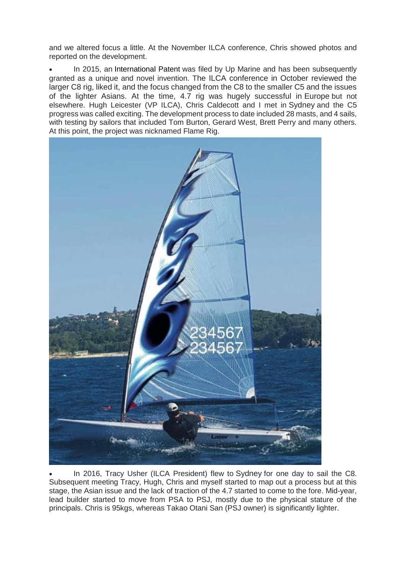and we altered focus a little. At the November ILCA conference, Chris showed photos and reported on the development.

 In 2015, an [International Patent](https://patentimages.storage.googleapis.com/7d/c6/f6/bce8b257a144ca/WO2017201580A1.pdf) was filed by Up Marine and has been subsequently granted as a unique and novel invention. The ILCA conference in October reviewed the larger C8 rig, liked it, and the focus changed from the C8 to the smaller C5 and the issues of the lighter Asians. At the time, 4.7 rig was hugely successful in Europe but not elsewhere. Hugh Leicester (VP ILCA), Chris Caldecott and I met in Sydney and the C5 progress was called exciting. The development process to date included 28 masts, and 4 sails, with testing by sailors that included Tom Burton, Gerard West, Brett Perry and many others. At this point, the project was nicknamed Flame Rig.



 In 2016, Tracy Usher (ILCA President) flew to Sydney for one day to sail the C8. Subsequent meeting Tracy, Hugh, Chris and myself started to map out a process but at this stage, the Asian issue and the lack of traction of the 4.7 started to come to the fore. Mid-year, lead builder started to move from PSA to PSJ, mostly due to the physical stature of the principals. Chris is 95kgs, whereas Takao Otani San (PSJ owner) is significantly lighter.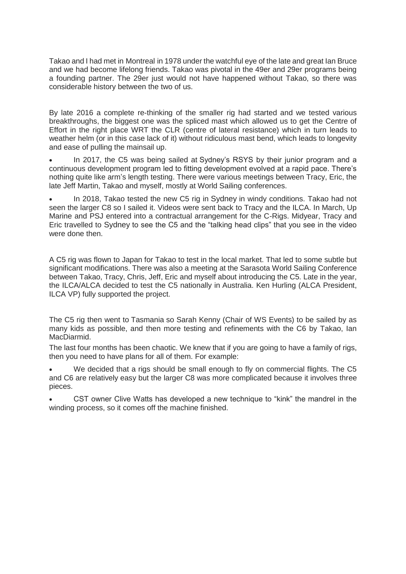Takao and I had met in Montreal in 1978 under the watchful eye of the late and great Ian Bruce and we had become lifelong friends. Takao was pivotal in the 49er and 29er programs being a founding partner. The 29er just would not have happened without Takao, so there was considerable history between the two of us.

By late 2016 a complete re-thinking of the smaller rig had started and we tested various breakthroughs, the biggest one was the spliced mast which allowed us to get the Centre of Effort in the right place WRT the CLR (centre of lateral resistance) which in turn leads to weather helm (or in this case lack of it) without ridiculous mast bend, which leads to longevity and ease of pulling the mainsail up.

 In 2017, the C5 was being sailed at Sydney's RSYS by their junior program and a continuous development program led to fitting development evolved at a rapid pace. There's nothing quite like arm's length testing. There were various meetings between Tracy, Eric, the late Jeff Martin, Takao and myself, mostly at World Sailing conferences.

 In 2018, Takao tested the new C5 rig in Sydney in windy conditions. Takao had not seen the larger C8 so I sailed it. Videos were sent back to Tracy and the ILCA. In March, Up Marine and PSJ entered into a contractual arrangement for the C-Rigs. Midyear, Tracy and Eric travelled to Sydney to see the C5 and the "talking head clips" that you see in the video were done then.

A C5 rig was flown to Japan for Takao to test in the local market. That led to some subtle but significant modifications. There was also a meeting at the Sarasota World Sailing Conference between Takao, Tracy, Chris, Jeff, Eric and myself about introducing the C5. Late in the year, the ILCA/ALCA decided to test the C5 nationally in Australia. Ken Hurling (ALCA President, ILCA VP) fully supported the project.

The C5 rig then went to Tasmania so Sarah Kenny (Chair of WS Events) to be sailed by as many kids as possible, and then more testing and refinements with the C6 by Takao, Ian MacDiarmid.

The last four months has been chaotic. We knew that if you are going to have a family of rigs, then you need to have plans for all of them. For example:

We decided that a rigs should be small enough to fly on commercial flights. The C5 and C6 are relatively easy but the larger C8 was more complicated because it involves three pieces.

 CST owner Clive Watts has developed a new technique to "kink" the mandrel in the winding process, so it comes off the machine finished.